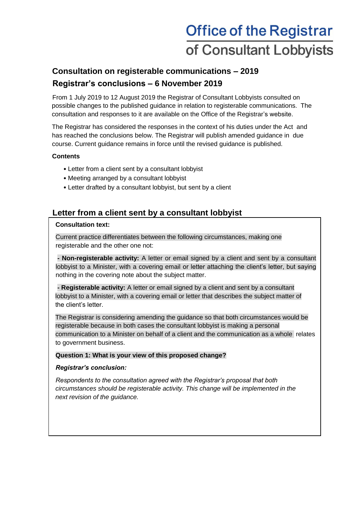# **Office of the Registrar** of Consultant Lobbyists

# **Consultation on registerable communications – 2019 Registrar's conclusions – 6 November 2019**

From 1 July 2019 to 12 August 2019 the Registrar of Consultant Lobbyists consulted on possible changes to the published guidance in relation to registerable communications. The consultation and responses to it are available on the Office of the Registrar's website.

The Registrar has considered the responses in the context of his duties under the Act and has reached the conclusions below. The Registrar will publish amended guidance in due course. Current guidance remains in force until the revised guidance is published.

#### **Contents**

- Letter from a client sent by a consultant lobbyist
- Meeting arranged by a consultant lobbyist
- Letter drafted by a consultant lobbyist, but sent by a client

### **Letter from a client sent by a consultant lobbyist**

#### **Consultation text:**

Current practice differentiates between the following circumstances, making one registerable and the other one not:

**- Non-registerable activity:** A letter or email signed by a client and sent by a consultant lobbyist to a Minister, with a covering email or letter attaching the client's letter, but saying nothing in the covering note about the subject matter.

**- Registerable activity:** A letter or email signed by a client and sent by a consultant lobbyist to a Minister, with a covering email or letter that describes the subject matter of the client's letter.

The Registrar is considering amending the guidance so that both circumstances would be registerable because in both cases the consultant lobbyist is making a personal communication to a Minister on behalf of a client and the communication as a whole relates to government business.

#### **Question 1: What is your view of this proposed change?**

#### *Registrar's conclusion:*

*Respondents to the consultation agreed with the Registrar's proposal that both circumstances should be registerable activity. This change will be implemented in the next revision of the guidance.*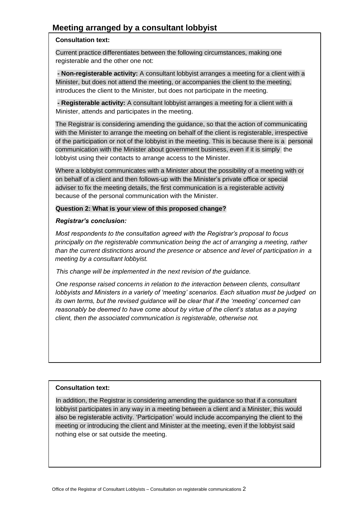## **Meeting arranged by a consultant lobbyist**

#### **Consultation text:**

Current practice differentiates between the following circumstances, making one registerable and the other one not:

**- Non-registerable activity:** A consultant lobbyist arranges a meeting for a client with a Minister, but does not attend the meeting, or accompanies the client to the meeting, introduces the client to the Minister, but does not participate in the meeting.

**- Registerable activity:** A consultant lobbyist arranges a meeting for a client with a Minister, attends and participates in the meeting.

The Registrar is considering amending the guidance, so that the action of communicating with the Minister to arrange the meeting on behalf of the client is registerable, irrespective of the participation or not of the lobbyist in the meeting. This is because there is a personal communication with the Minister about government business, even if it is simply the lobbyist using their contacts to arrange access to the Minister.

Where a lobbyist communicates with a Minister about the possibility of a meeting with or on behalf of a client and then follows-up with the Minister's private office or special adviser to fix the meeting details, the first communication is a registerable activity because of the personal communication with the Minister.

#### **Question 2: What is your view of this proposed change?**

#### *Registrar's conclusion:*

*Most respondents to the consultation agreed with the Registrar's proposal to focus principally on the registerable communication being the act of arranging a meeting, rather than the current distinctions around the presence or absence and level of participation in a meeting by a consultant lobbyist.* 

*This change will be implemented in the next revision of the guidance.* 

*One response raised concerns in relation to the interaction between clients, consultant lobbyists and Ministers in a variety of 'meeting' scenarios. Each situation must be judged on its own terms, but the revised guidance will be clear that if the 'meeting' concerned can reasonably be deemed to have come about by virtue of the client's status as a paying client, then the associated communication is registerable, otherwise not.*

#### **Consultation text:**

In addition, the Registrar is considering amending the guidance so that if a consultant lobbyist participates in any way in a meeting between a client and a Minister, this would also be registerable activity. 'Participation' would include accompanying the client to the meeting or introducing the client and Minister at the meeting, even if the lobbyist said nothing else or sat outside the meeting.